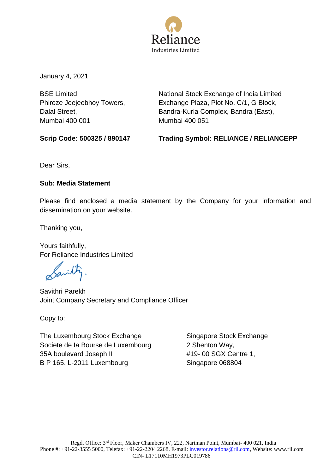

January 4, 2021

BSE Limited Phiroze Jeejeebhoy Towers, Dalal Street, Mumbai 400 001

National Stock Exchange of India Limited Exchange Plaza, Plot No. C/1, G Block, Bandra-Kurla Complex, Bandra (East), Mumbai 400 051

**Scrip Code: 500325 / 890147 Trading Symbol: RELIANCE / RELIANCEPP** 

Dear Sirs,

## **Sub: Media Statement**

Please find enclosed a media statement by the Company for your information and dissemination on your website.

Thanking you,

Yours faithfully, For Reliance Industries Limited

Savilly

Savithri Parekh Joint Company Secretary and Compliance Officer

Copy to:

The Luxembourg Stock Exchange Societe de Ia Bourse de Luxembourg 35A boulevard Joseph II B P 165, L-2011 Luxembourg

Singapore Stock Exchange 2 Shenton Way, #19- 00 SGX Centre 1, Singapore 068804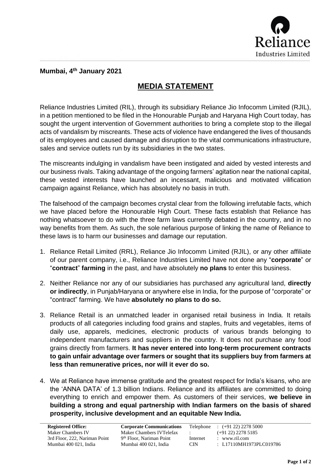

## **Mumbai, 4 th January 2021**

## **MEDIA STATEMENT**

Reliance Industries Limited (RIL), through its subsidiary Reliance Jio Infocomm Limited (RJIL), in a petition mentioned to be filed in the Honourable Punjab and Haryana High Court today, has sought the urgent intervention of Government authorities to bring a complete stop to the illegal acts of vandalism by miscreants. These acts of violence have endangered the lives of thousands of its employees and caused damage and disruption to the vital communications infrastructure, sales and service outlets run by its subsidiaries in the two states.

The miscreants indulging in vandalism have been instigated and aided by vested interests and our business rivals. Taking advantage of the ongoing farmers' agitation near the national capital, these vested interests have launched an incessant, malicious and motivated vilification campaign against Reliance, which has absolutely no basis in truth.

The falsehood of the campaign becomes crystal clear from the following irrefutable facts, which we have placed before the Honourable High Court. These facts establish that Reliance has nothing whatsoever to do with the three farm laws currently debated in the country, and in no way benefits from them. As such, the sole nefarious purpose of linking the name of Reliance to these laws is to harm our businesses and damage our reputation.

- 1. Reliance Retail Limited (RRL), Reliance Jio Infocomm Limited (RJIL), or any other affiliate of our parent company, i.e., Reliance Industries Limited have not done any "**corporate**" or "**contract**" **farming** in the past, and have absolutely **no plans** to enter this business.
- 2. Neither Reliance nor any of our subsidiaries has purchased any agricultural land, **directly or indirectly**, in Punjab/Haryana or anywhere else in India, for the purpose of "corporate" or "contract" farming. We have **absolutely no plans to do so.**
- 3. Reliance Retail is an unmatched leader in organised retail business in India. It retails products of all categories including food grains and staples, fruits and vegetables, items of daily use, apparels, medicines, electronic products of various brands belonging to independent manufacturers and suppliers in the country. It does not purchase any food grains directly from farmers. **It has never entered into long-term procurement contracts to gain unfair advantage over farmers or sought that its suppliers buy from farmers at less than remunerative prices, nor will it ever do so.**
- 4. We at Reliance have immense gratitude and the greatest respect for India's kisans, who are the 'ANNA DATA' of 1.3 billion Indians. Reliance and its affiliates are committed to doing everything to enrich and empower them. As customers of their services, **we believe in building a strong and equal partnership with Indian farmers on the basis of shared prosperity, inclusive development and an equitable New India.**

| <b>Registered Office:</b>     | <b>Corporate Communications</b>      | Telephone         | $\div$ (+91 22) 2278 5000 |
|-------------------------------|--------------------------------------|-------------------|---------------------------|
| Maker Chambers IV             | Maker Chambers IVTelefax             | <b>Contractor</b> | $(+91 22) 2278 5185$      |
| 3rd Floor, 222, Nariman Point | 9 <sup>th</sup> Floor, Nariman Point | Internet          | $:$ www.ril.com           |
| Mumbai 400 021. India         | Mumbai 400 021. India                | CIN.              | : L17110MH1973PLC019786   |